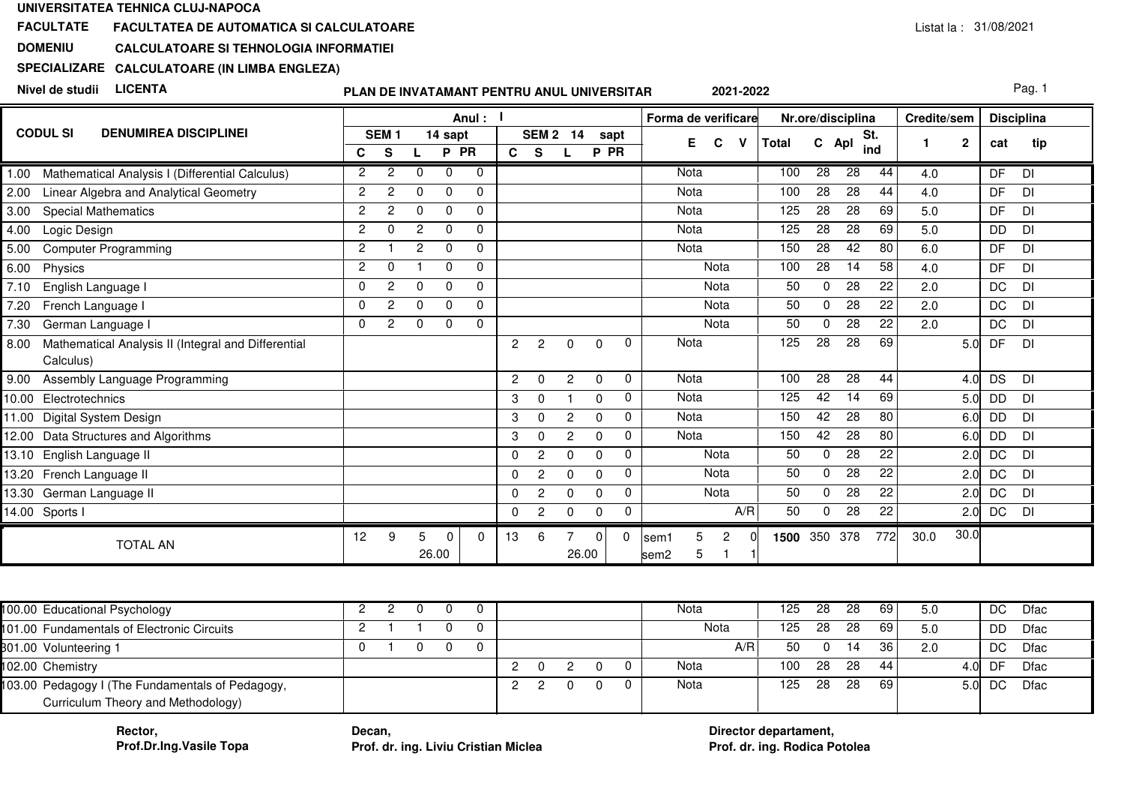### **FACULTATEFACULTATEA DE AUTOMATICA SI CALCULATOARE**

#### **DOMENIUCALCULATOARE SI TEHNOLOGIA INFORMATIEI**

# **SPECIALIZARECALCULATOARE (IN LIMBA ENGLEZA)**

**Nivel de studii LICENTA**

# **PLAN DE INVATAMANT PENTRU ANUL UNIVERSITAR**

Pag. 1

|                                                             |                |                  |                |             | Anul :       |                |                |              |          |          | Forma de verificare          |       |                 | Nr.ore/disciplina |     | Credite/sem  |           | <b>Disciplina</b> |  |
|-------------------------------------------------------------|----------------|------------------|----------------|-------------|--------------|----------------|----------------|--------------|----------|----------|------------------------------|-------|-----------------|-------------------|-----|--------------|-----------|-------------------|--|
| <b>CODUL SI</b><br><b>DENUMIREA DISCIPLINEI</b>             |                | SEM <sub>1</sub> |                | 14 sapt     |              |                | <b>SEM 2</b>   | 14           | sapt     |          | E.<br>C                      | Total | C Apl           | St.               |     | $\mathbf{2}$ | cat       | tip               |  |
|                                                             | C              | S                |                | P PR        |              | $\mathbf{C}$   | <b>S</b>       |              | P PR     |          |                              |       |                 | ind               |     |              |           |                   |  |
| Mathematical Analysis I (Differential Calculus)<br>1.00     | $\overline{2}$ | $\overline{2}$   | $\Omega$       | $\Omega$    | $\Omega$     |                |                |              |          |          | Nota                         | 100   | $\overline{28}$ | 28                | 44  | 4.0          | DF        | <b>DI</b>         |  |
| Linear Algebra and Analytical Geometry<br>2.00              | 2              | 2                | $\Omega$       | $\Omega$    | $\mathbf 0$  |                |                |              |          |          | Nota                         | 100   | 28              | 28                | 44  | 4.0          | DF        | DI                |  |
| <b>Special Mathematics</b><br>3.00                          | 2              | 2                | $\Omega$       | $\Omega$    | $\Omega$     |                |                |              |          |          | Nota                         | 125   | 28              | 28                | 69  | 5.0          | DF        | DI                |  |
| Logic Design<br>4.00                                        | 2              | $\Omega$         | 2              | $\Omega$    | $\mathbf{0}$ |                |                |              |          |          | Nota                         | 125   | 28              | 28                | 69  | 5.0          | DD        | DI                |  |
| <b>Computer Programming</b><br>5.00                         | $\overline{2}$ |                  | $\overline{2}$ | $\Omega$    | $\Omega$     |                |                |              |          |          | Nota                         | 150   | 28              | 42                | 80  | 6.0          | DF        | DI                |  |
| Physics<br>6.00                                             | 2              | $\Omega$         |                | $\mathbf 0$ | $\mathbf{0}$ |                |                |              |          |          | Nota                         | 100   | 28              | 14                | 58  | 4.0          | DF        | DI                |  |
| 7.10<br>English Language I                                  | $\Omega$       | 2                | $\Omega$       | $\Omega$    | $\Omega$     |                |                |              |          |          | Nota                         | 50    | $\Omega$        | 28                | 22  | 2.0          | <b>DC</b> | <b>DI</b>         |  |
| 7.20<br>French Language I                                   | $\Omega$       | 2                | $\Omega$       | $\Omega$    | $\Omega$     |                |                |              |          |          | Nota                         | 50    | $\Omega$        | 28                | 22  | 2.0          | DC        | <b>DI</b>         |  |
| 7.30<br>German Language I                                   | $\Omega$       | $\overline{2}$   | $\Omega$       | $\mathbf 0$ | $\Omega$     |                |                |              |          |          | Nota                         | 50    | $\Omega$        | $\overline{28}$   | 22  | 2.0          | <b>DC</b> | DI                |  |
| Mathematical Analysis II (Integral and Differential<br>8.00 |                |                  |                |             |              | $\overline{2}$ | $\overline{2}$ | 0            | $\Omega$ | 0        | Nota                         | 125   | $\overline{28}$ | $\overline{28}$   | 69  |              | DF<br>5.0 | DI                |  |
| Calculus)                                                   |                |                  |                |             |              |                |                |              |          |          |                              |       |                 |                   |     |              |           |                   |  |
| Assembly Language Programming<br>9.00                       |                |                  |                |             |              | $\overline{2}$ | $\Omega$       | $\mathbf{2}$ | $\Omega$ | 0        | Nota                         | 100   | 28              | 28                | 44  | 4.0          | <b>DS</b> | DI                |  |
| Electrotechnics<br>10.00                                    |                |                  |                |             |              | 3              | 0              |              | $\Omega$ | 0        | Nota                         | 125   | 42              | $\overline{14}$   | 69  | 5.0          | <b>DD</b> | DI                |  |
| Digital System Design<br>11.00                              |                |                  |                |             |              | 3              | $\Omega$       | $\mathbf{2}$ | $\Omega$ | 0        | Nota                         | 150   | 42              | 28                | 80  | 6.0          | <b>DD</b> | DI                |  |
| Data Structures and Algorithms<br>12.00                     |                |                  |                |             |              | 3              | $\Omega$       | $\mathbf{2}$ | $\Omega$ | 0        | Nota                         | 150   | 42              | $\overline{28}$   | 80  | 6.0          | <b>DD</b> | DI                |  |
| English Language II<br>13.10                                |                |                  |                |             |              | $\mathbf 0$    | $\mathbf{2}$   | $\Omega$     | $\Omega$ | 0        | Nota                         | 50    | $\Omega$        | 28                | 22  | 2.0          | DC        | <b>DI</b>         |  |
| French Language II<br>13.20                                 |                |                  |                |             |              | $\Omega$       | $\overline{c}$ | 0            | $\Omega$ | 0        | Nota                         | 50    | $\Omega$        | $\overline{28}$   | 22  | 2.0          | DC        | DI                |  |
| 13.30<br>German Language II                                 |                |                  |                |             |              | $\Omega$       | $\mathbf{2}$   | $\Omega$     | $\Omega$ | 0        | Nota                         | 50    | $\Omega$        | 28                | 22  | 2.0          | <b>DC</b> | <b>DI</b>         |  |
| 14.00 Sports I                                              |                |                  |                |             |              | $\mathbf 0$    | $\mathbf{2}$   | 0            | 0        | 0        | A/R                          | 50    | $\Omega$        | 28                | 22  | 2.0          | DC        | DI                |  |
| <b>TOTAL AN</b>                                             | 12             | 9                | 5              | $\Omega$    | $\Omega$     | 13             | 6              | 7            | $\Omega$ | $\Omega$ | 5<br>$\overline{2}$<br>lsem1 | 1500  | 350 378         |                   | 772 | 30.0<br>30.0 |           |                   |  |
|                                                             |                |                  |                | 26.00       |              |                |                | 26.00        |          |          | 5<br>sem <sub>2</sub>        |       |                 |                   |     |              |           |                   |  |

| 100.00 Educational Psychology                                                          |  |          |  |  |  | Nota | 125 | 28  | 28  | 69  | 5.0 |                  | DC | Dfac |
|----------------------------------------------------------------------------------------|--|----------|--|--|--|------|-----|-----|-----|-----|-----|------------------|----|------|
| 101.00 Fundamentals of Electronic Circuits                                             |  |          |  |  |  | Nota | 125 | 28  | 28  | 69' | 5.0 |                  | DD | Dfac |
| 301.00 Volunteering 1                                                                  |  | $\Omega$ |  |  |  | A/R  | 50  |     | 14  | 36  | 2.0 |                  | DC | Dfac |
| 102.00 Chemistry                                                                       |  |          |  |  |  | Nota | 100 | 28  | -28 | 44  |     | 4.OL             | DF | Dfac |
| 103.00 Pedagogy I (The Fundamentals of Pedagogy,<br>Curriculum Theory and Methodology) |  |          |  |  |  | Nota | 125 | -28 | -28 | 69  |     | 5.0 <sub>l</sub> | DC | Dfac |

**Rector,Prof.Dr.Ing.Vasile Topa**

 **Decan, Prof. dr. ing. Liviu Cristian Miclea Prof. dr. ing. Rodica Potolea**

**Director departament,**Prof. dr. ing. Rodica Potolea

**2021-2022**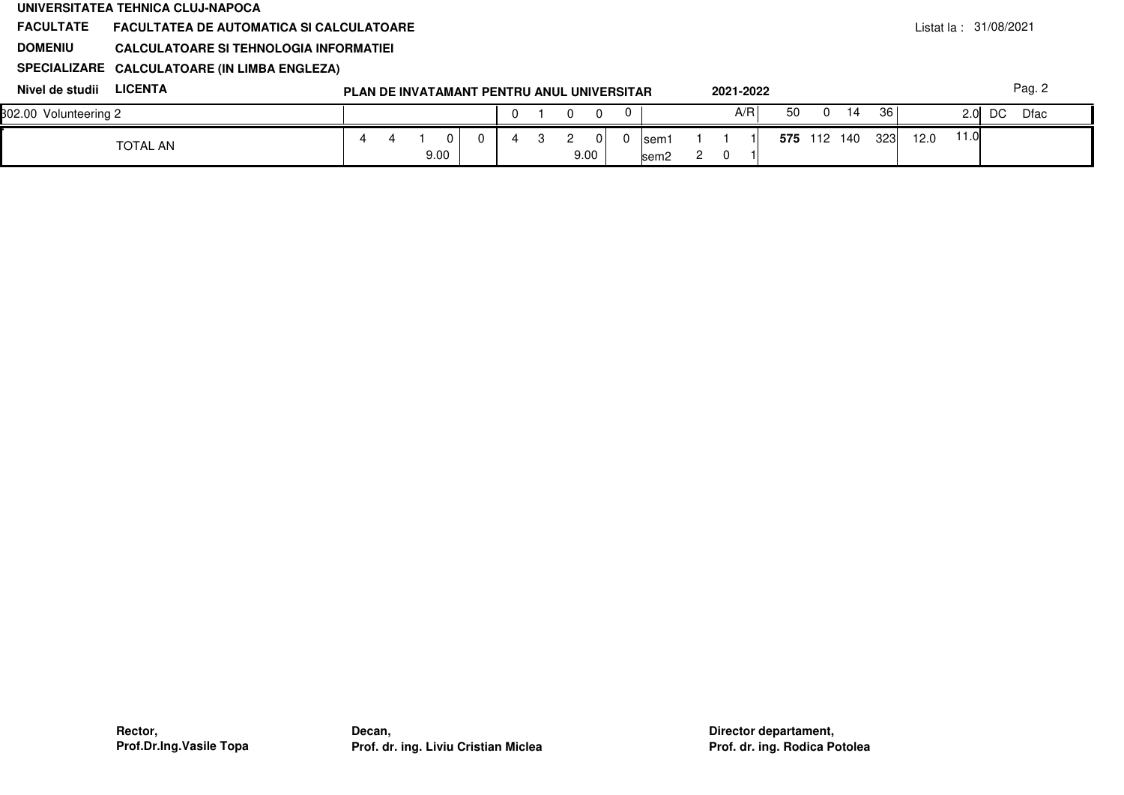|                       | UNIVERSITATEA TEHNICA CLUJ-NAPOCA               |                                            |      |    |   |   |   |             |   |                           |                |     |           |    |          |             |     |      |                        |    |        |  |
|-----------------------|-------------------------------------------------|--------------------------------------------|------|----|---|---|---|-------------|---|---------------------------|----------------|-----|-----------|----|----------|-------------|-----|------|------------------------|----|--------|--|
| <b>FACULTATE</b>      | <b>FACULTATEA DE AUTOMATICA SI CALCULATOARE</b> |                                            |      |    |   |   |   |             |   |                           |                |     |           |    |          |             |     |      | Listat la : 31/08/2021 |    |        |  |
| <b>DOMENIU</b>        | CALCULATOARE SI TEHNOLOGIA INFORMATIEI          |                                            |      |    |   |   |   |             |   |                           |                |     |           |    |          |             |     |      |                        |    |        |  |
|                       | SPECIALIZARE CALCULATOARE (IN LIMBA ENGLEZA)    |                                            |      |    |   |   |   |             |   |                           |                |     |           |    |          |             |     |      |                        |    |        |  |
| Nivel de studii       | <b>LICENTA</b>                                  | PLAN DE INVATAMANT PENTRU ANUL UNIVERSITAR |      |    |   |   |   |             |   |                           |                |     | 2021-2022 |    |          |             |     |      |                        |    | Pag. 2 |  |
| 302.00 Volunteering 2 |                                                 |                                            |      |    |   |   |   | 0           | 0 |                           |                |     | A/R       | 50 | $\Omega$ | 14          | 36  |      | 2.0 <sub>l</sub>       | DC | Dfac   |  |
|                       | <b>TOTAL AN</b>                                 |                                            | 9.00 | 0. | 4 | 3 | 2 | 0 I<br>9.00 |   | lsem1<br>sem <sub>2</sub> | $\overline{2}$ | - 0 |           |    |          | 575 112 140 | 323 | 12.0 | 11.0                   |    |        |  |
|                       |                                                 |                                            |      |    |   |   |   |             |   |                           |                |     |           |    |          |             |     |      |                        |    |        |  |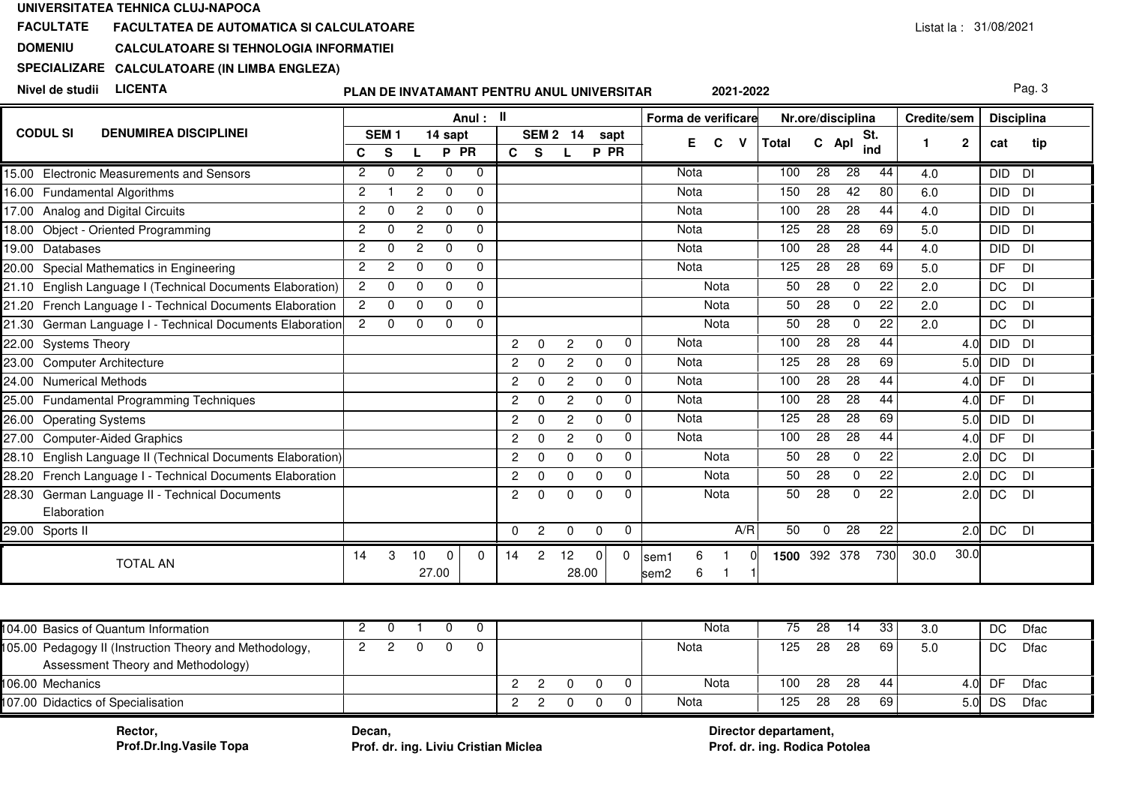### **FACULTATEFACULTATEA DE AUTOMATICA SI CALCULATOARE**

#### **DOMENIUCALCULATOARE SI TEHNOLOGIA INFORMATIEI**

# **SPECIALIZARECALCULATOARE (IN LIMBA ENGLEZA)**

**Nivel de studii LICENTA**

# **PLAN DE INVATAMANT PENTRU ANUL UNIVERSITAR**

Pag. 3

|                                                                |                |                  |               |          | Anul: II |                |                |                |              |              | Forma de verificare   |       |                 | Nr.ore/disciplina |     | Credite/sem |             | <b>Disciplina</b> |           |
|----------------------------------------------------------------|----------------|------------------|---------------|----------|----------|----------------|----------------|----------------|--------------|--------------|-----------------------|-------|-----------------|-------------------|-----|-------------|-------------|-------------------|-----------|
| <b>CODUL SI</b><br><b>DENUMIREA DISCIPLINEI</b>                |                | SEM <sub>1</sub> |               | 14 sapt  |          |                | <b>SEM 2</b>   | -14            | sapt         |              | E.<br>C<br>v          | Total | C Apl           | St.               |     |             | $\mathbf 2$ | cat               | tip       |
|                                                                | C              | S                |               | P PR     |          | C S            |                | L              | P PR         |              |                       |       |                 | ind               |     |             |             |                   |           |
| <b>Electronic Measurements and Sensors</b><br>15.00            | $\overline{2}$ | $\Omega$         | 2             | $\Omega$ | $\Omega$ |                |                |                |              |              | Nota                  | 100   | 28              | 28                | 44  | 4.0         |             | <b>DID</b>        | DI        |
| 16.00 Fundamental Algorithms                                   | 2              |                  | $\mathcal{P}$ | $\Omega$ | $\Omega$ |                |                |                |              |              | <b>Nota</b>           | 150   | 28              | 42                | 80  | 6.0         |             | <b>DID</b>        | DI        |
| 17.00 Analog and Digital Circuits                              | $\overline{2}$ | $\Omega$         | $\mathbf{2}$  | $\Omega$ | 0        |                |                |                |              |              | Nota                  | 100   | 28              | 28                | 44  | 4.0         |             | <b>DID</b>        | <b>DI</b> |
| Object - Oriented Programming<br>18.00                         | $\overline{2}$ |                  | 2             | $\Omega$ | $\Omega$ |                |                |                |              |              | <b>Nota</b>           | 125   | 28              | 28                | 69  | 5.0         |             | <b>DID</b>        | DI        |
| Databases<br>19.00                                             | $\overline{2}$ | $\Omega$         | 2             | $\Omega$ | $\Omega$ |                |                |                |              |              | <b>Nota</b>           | 100   | 28              | 28                | 44  | 4.0         |             | <b>DID</b>        | <b>DI</b> |
| Special Mathematics in Engineering<br>20.00                    | $\overline{2}$ | 2                | $\Omega$      | $\Omega$ | $\Omega$ |                |                |                |              |              | <b>Nota</b>           | 125   | 28              | 28                | 69  | 5.0         |             | <b>DF</b>         | <b>DI</b> |
| English Language I (Technical Documents Elaboration)<br>21.10  | $\overline{2}$ | $\Omega$         | $\Omega$      | $\Omega$ | 0        |                |                |                |              |              | Nota                  | 50    | 28              | $\Omega$          | 22  | 2.0         |             | DC                | DI        |
| 21.20 French Language I - Technical Documents Elaboration      | $\overline{2}$ | $\Omega$         | $\Omega$      | $\Omega$ | $\Omega$ |                |                |                |              |              | Nota                  | 50    | 28              | $\Omega$          | 22  | 2.0         |             | DC                | DI        |
| 21.30 German Language I - Technical Documents Elaboration      | $\overline{2}$ | $\Omega$         | $\Omega$      | $\Omega$ | $\Omega$ |                |                |                |              |              | Nota                  | 50    | 28              | 0                 | 22  | 2.0         |             | DC                | <b>DI</b> |
| 22.00 Systems Theory                                           |                |                  |               |          |          | $\overline{2}$ | $\Omega$       | $\overline{2}$ | $\mathbf 0$  | $\mathbf 0$  | <b>Nota</b>           | 100   | 28              | 28                | 44  |             | 4.0         | <b>DID</b>        | <b>DI</b> |
| 23.00<br><b>Computer Architecture</b>                          |                |                  |               |          |          | $\overline{2}$ | $\Omega$       | $\overline{2}$ | $\mathbf{0}$ | $\mathbf{0}$ | <b>Nota</b>           | 125   | 28              | 28                | 69  |             | 5.0         | <b>DID</b>        | <b>DI</b> |
| <b>Numerical Methods</b><br>24.00                              |                |                  |               |          |          | $\overline{2}$ | $\Omega$       | $\mathbf{2}$   | $\Omega$     | $\Omega$     | <b>Nota</b>           | 100   | 28              | 28                | 44  |             | 4.0         | DF                | DI        |
| <b>Fundamental Programming Techniques</b><br>25.00             |                |                  |               |          |          | $\overline{2}$ | $\Omega$       | $\overline{2}$ | $\Omega$     | $\Omega$     | <b>Nota</b>           | 100   | 28              | 28                | 44  |             | 4.0         | DF                | DI        |
| 26.00<br><b>Operating Systems</b>                              |                |                  |               |          |          | $\overline{2}$ | 0              | $\overline{2}$ | $\Omega$     | $\Omega$     | Nota                  | 125   | 28              | 28                | 69  |             | 5.0         | <b>DID</b>        | <b>DI</b> |
| <b>Computer-Aided Graphics</b><br>27.00                        |                |                  |               |          |          | $\overline{2}$ | $\Omega$       | $\overline{2}$ | $\Omega$     | $\Omega$     | <b>Nota</b>           | 100   | 28              | $\overline{28}$   | 44  |             | 4.0         | DF                | DI        |
| English Language II (Technical Documents Elaboration)<br>28.10 |                |                  |               |          |          | $\overline{2}$ | $\Omega$       | $\Omega$       | $\mathbf{0}$ | $\Omega$     | Nota                  | 50    | 28              | $\mathbf 0$       | 22  |             | 2.0         | <b>DC</b>         | DI        |
| French Language I - Technical Documents Elaboration<br>28.20   |                |                  |               |          |          | $\overline{2}$ | $\Omega$       | $\Omega$       | $\mathbf{0}$ | $\Omega$     | Nota                  | 50    | 28              | $\Omega$          | 22  |             | 2.0         | <b>DC</b>         | DI        |
| German Language II - Technical Documents<br>28.30              |                |                  |               |          |          | $\overline{2}$ | $\Omega$       | $\Omega$       | $\mathbf{0}$ | $\Omega$     | Nota                  | 50    | $\overline{28}$ | $\Omega$          | 22  |             | 2.0         | DC                | DI        |
| Elaboration                                                    |                |                  |               |          |          |                |                |                |              |              |                       |       |                 |                   |     |             |             |                   |           |
| 29.00 Sports II                                                |                |                  |               |          |          | $\mathbf 0$    | $\overline{2}$ | $\mathbf 0$    | $\mathbf 0$  | 0            | A/R                   | 50    | 0               | 28                | 22  |             | 2.0         | DC                | DI        |
|                                                                | 14             | 3                | 10            | $\Omega$ | 0        | 14             | 2              | 12             | 0            | 0            | 6<br>lsem1            | 1500  | 392 378         |                   | 730 | 30.0        | 30.0        |                   |           |
| <b>TOTAL AN</b>                                                |                |                  |               | 27.00    |          |                |                | 28.00          |              |              | 6<br>sem <sub>2</sub> |       |                 |                   |     |             |             |                   |           |

| 104.00 Basics of Quantum Information                                                          |  |  |  |  |  | Nota | 75  | 28  | 14  | 33   | 3.0  | DC  | Dfac |
|-----------------------------------------------------------------------------------------------|--|--|--|--|--|------|-----|-----|-----|------|------|-----|------|
| 105.00 Pedagogy II (Instruction Theory and Methodology,<br>Assessment Theory and Methodology) |  |  |  |  |  | Nota | 125 | 28  | 28  | 69 I | 5.0  | DC  | Dfac |
| 106.00 Mechanics                                                                              |  |  |  |  |  | Nota | 100 | -28 | -28 | 44   | 4.0I | DF  | Dfac |
| 107.00 Didactics of Specialisation                                                            |  |  |  |  |  | Nota | 125 | 28  | 28  | 69   | 5.OI | DS. | Dfac |

**Rector,Prof.Dr.Ing.Vasile Topa**

 **Decan, Prof. dr. ing. Liviu Cristian Miclea Prof. dr. ing. Rodica Potolea**

**Director departament,**Prof. dr. ing. Rodica Potolea

**2021-2022**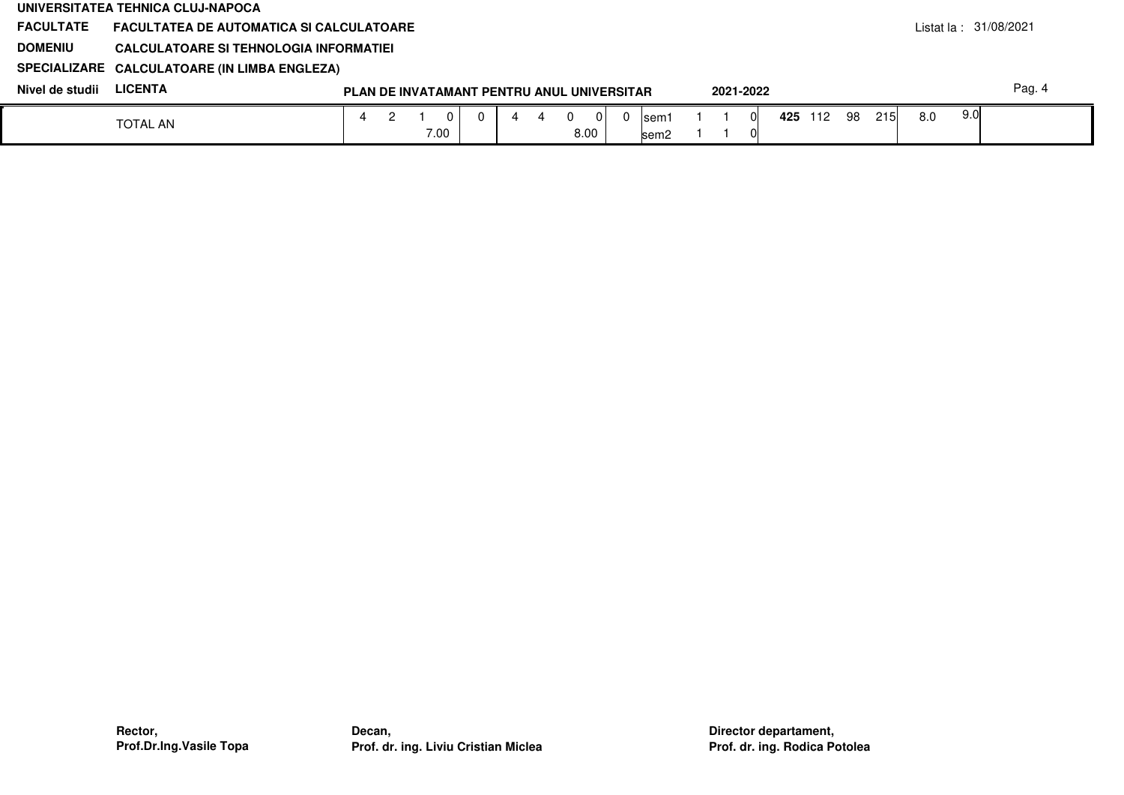|                  | UNIVERSITATEA TEHNICA CLUJ-NAPOCA               |  |      |   |                                            |   |      |       |           |  |         |     |            |     |       |                          |
|------------------|-------------------------------------------------|--|------|---|--------------------------------------------|---|------|-------|-----------|--|---------|-----|------------|-----|-------|--------------------------|
| <b>FACULTATE</b> | <b>FACULTATEA DE AUTOMATICA SI CALCULATOARE</b> |  |      |   |                                            |   |      |       |           |  |         |     |            |     |       | Listat la : $31/08/2021$ |
| <b>DOMENIU</b>   | CALCULATOARE SI TEHNOLOGIA INFORMATIEI          |  |      |   |                                            |   |      |       |           |  |         |     |            |     |       |                          |
|                  | SPECIALIZARE CALCULATOARE (IN LIMBA ENGLEZA)    |  |      |   |                                            |   |      |       |           |  |         |     |            |     |       |                          |
| Nivel de studii  | <b>LICENTA</b>                                  |  |      |   | PLAN DE INVATAMANT PENTRU ANUL UNIVERSITAR |   |      |       | 2021-2022 |  |         |     |            |     |       | Pag. 4                   |
|                  | <b>TOTAL AN</b>                                 |  |      | 0 |                                            | 4 | 01   | Isem1 |           |  | 425 112 | -98 | <b>215</b> | 8.0 | -9.01 |                          |
|                  |                                                 |  | 7.00 |   |                                            |   | 8.00 | lsem2 |           |  |         |     |            |     |       |                          |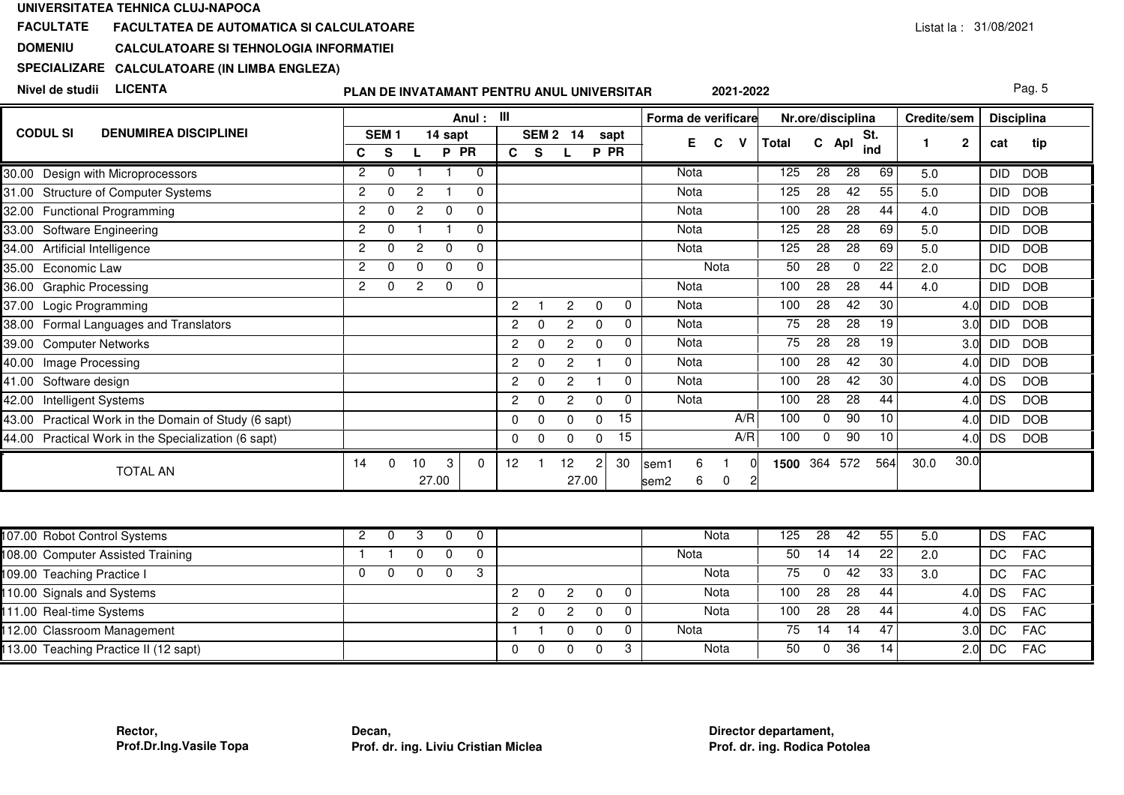### **FACULTATEFACULTATEA DE AUTOMATICA SI CALCULATOARE**

#### **DOMENIUCALCULATOARE SI TEHNOLOGIA INFORMATIEI**

# **SPECIALIZARECALCULATOARE (IN LIMBA ENGLEZA)**

**Nivel de studii LICENTA**

# **PLAN DE INVATAMANT PENTRU ANUL UNIVERSITAR**

Pag. 5

|                                                         |               |                  |             |          | Anul:    | - III                |                  |                |          |           | Forma de verificare                 |        |       |     | Nr.ore/disciplina |     | Credite/sem |              |            | <b>Disciplina</b> |
|---------------------------------------------------------|---------------|------------------|-------------|----------|----------|----------------------|------------------|----------------|----------|-----------|-------------------------------------|--------|-------|-----|-------------------|-----|-------------|--------------|------------|-------------------|
| <b>CODUL SI</b><br><b>DENUMIREA DISCIPLINEI</b>         |               | SEM <sub>1</sub> |             | 14 sapt  |          |                      | SEM <sub>2</sub> | 14             |          | sapt      | E.                                  | C<br>v | Total |     | St.<br>C Apl      |     |             | $\mathbf{2}$ | cat        | tip               |
|                                                         | С             | s                |             | P PR     |          | C.                   | <b>S</b>         |                | P        | <b>PR</b> |                                     |        |       |     |                   | ind |             |              |            |                   |
| Design with Microprocessors<br>30.00                    | 2             |                  |             |          | $\Omega$ |                      |                  |                |          |           | Nota                                |        | 125   | 28  | 28                | 69  | 5.0         |              | <b>DID</b> | <b>DOB</b>        |
| <b>Structure of Computer Systems</b><br>31.00           | 2             |                  | 2           |          | 0        |                      |                  |                |          |           | Nota                                |        | 125   | 28  | 42                | 55  | 5.0         |              | <b>DID</b> | <b>DOB</b>        |
| 32.00<br><b>Functional Programming</b>                  | $\mathcal{P}$ | ∩                | 2           | $\Omega$ | $\Omega$ |                      |                  |                |          |           | Nota                                |        | 100   | 28  | 28                | 44  | 4.0         |              | DID        | <b>DOB</b>        |
| 33.00<br>Software Engineering                           | 2             |                  |             |          | $\Omega$ |                      |                  |                |          |           | Nota                                |        | 125   | 28  | 28                | 69  | 5.0         |              | DID        | <b>DOB</b>        |
| 34.00<br>Artificial Intelligence                        | 2             |                  | 2           | 0        | 0        |                      |                  |                |          |           | Nota                                |        | 125   | 28  | 28                | 69  | 5.0         |              | <b>DID</b> | <b>DOB</b>        |
| 35.00<br>Economic Law                                   | 2             |                  | ∩           | $\Omega$ | $\Omega$ |                      |                  |                |          |           |                                     | Nota   | 50    | 28  | 0                 | 22  | 2.0         |              | DC         | <b>DOB</b>        |
| <b>Graphic Processing</b><br>36.00                      | 2             |                  | 2           | $\Omega$ | $\Omega$ |                      |                  |                |          |           | Nota                                |        | 100   | 28  | 28                | 44  | 4.0         |              | <b>DID</b> | <b>DOB</b>        |
| 37.00<br>Logic Programming                              |               |                  |             |          |          | $\overline{2}$       |                  | $\mathcal{P}$  | $\Omega$ | $\Omega$  | Nota                                |        | 100   | 28  | 42                | 30  |             | 4.0          | DID        | <b>DOB</b>        |
| Formal Languages and Translators<br>38.00               |               |                  |             |          |          | $\overline{2}$       | $\Omega$         | 2              | 0        | 0         | Nota                                |        | 75    | 28  | 28                | 19  |             | 3.0          | DID        | <b>DOB</b>        |
| 39.00<br><b>Computer Networks</b>                       |               |                  |             |          |          | $\mathbf{2}^{\circ}$ | $\Omega$         | 2              | $\Omega$ | $\Omega$  | Nota                                |        | 75    | 28  | 28                | 19  |             | 3.0          | <b>DID</b> | <b>DOB</b>        |
| 40.00<br>Image Processing                               |               |                  |             |          |          | $\mathbf{2}^{\circ}$ | $\Omega$         | $\mathbf{2}$   |          | O         | Nota                                |        | 100   | 28  | 42                | 30  |             | 4.0          | <b>DID</b> | <b>DOB</b>        |
| 41.00<br>Software design                                |               |                  |             |          |          | $\overline{2}$       | 0                | 2              |          |           | Nota                                |        | 100   | 28  | 42                | 30  |             | 4.0          | DS         | <b>DOB</b>        |
| 42.00<br>Intelligent Systems                            |               |                  |             |          |          | $\overline{2}$       | $\Omega$         | $\overline{2}$ | $\Omega$ |           | Nota                                |        | 100   | 28  | 28                | 44  |             | 4.0          | DS         | <b>DOB</b>        |
| Practical Work in the Domain of Study (6 sapt)<br>43.00 |               |                  |             |          |          | 0                    | $\Omega$         | $\Omega$       | $\Omega$ | 15        |                                     | A/R    | 100   | 0   | 90                | 10  |             | 4.0          | <b>DID</b> | <b>DOB</b>        |
| 44.00 Practical Work in the Specialization (6 sapt)     |               |                  |             |          |          | $\mathbf{0}$         | $\Omega$         | O              |          | 15        |                                     | A/R    | 100   | 0   | 90                | 10  |             | 4.0          | <b>DS</b>  | <b>DOB</b>        |
| <b>TOTAL AN</b>                                         | 14            | $\Omega$         | 10<br>27.00 | 3        | $\Omega$ | 12                   |                  | 12<br>27.00    | 2        | 30        | 6<br>lsem1<br>6<br>sem <sub>2</sub> | 0<br>2 | 1500  | 364 | 572               | 564 | 30.0        | 30.0         |            |                   |

| 107.00 Robot Control Systems          |  |  |   |              |   |  | Nota | 125 | 28 | 42  | 55              | 5.0              | DS.       | <b>FAC</b> |
|---------------------------------------|--|--|---|--------------|---|--|------|-----|----|-----|-----------------|------------------|-----------|------------|
| 108.00 Computer Assisted Training     |  |  |   |              |   |  | Nota | 50  | 14 | 14  | 22 <sub>1</sub> | 2.0              | DC        | <b>FAC</b> |
| 109.00 Teaching Practice I            |  |  |   |              |   |  | Nota | 75  |    | 42  | 33              | 3.0              | DC.       | <b>FAC</b> |
| 110.00 Signals and Systems            |  |  | 2 | $\Omega$     | 2 |  | Nota | 100 | 28 | 28  | 44              | 4.0I             | <b>DS</b> | <b>FAC</b> |
| 111.00 Real-time Systems              |  |  |   | <sup>0</sup> | 2 |  | Nota | 100 | 28 | 28  | 44              | 4.0 <sup>1</sup> | DS.       | <b>FAC</b> |
| 112.00 Classroom Management           |  |  |   |              |   |  | Nota | 75  | 14 | 14  | 47              | 3.0 <sub>l</sub> | DC        | <b>FAC</b> |
| 113.00 Teaching Practice II (12 sapt) |  |  |   |              |   |  | Nota | 50  |    | -36 | 14              | 2.0 <sup>1</sup> | DC.       | <b>FAC</b> |

**2021-2022**

Listat la : 31/08/2021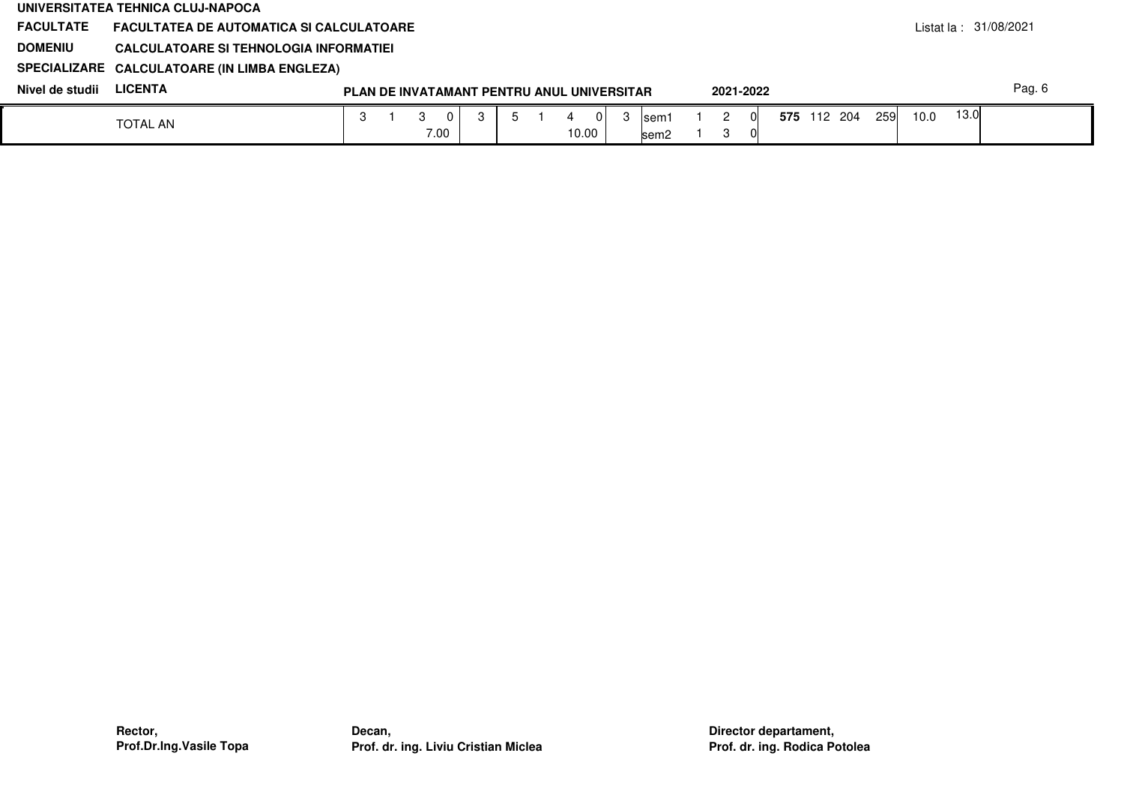|                  | UNIVERSITATEA TEHNICA CLUJ-NAPOCA               |    |      |                                            |  |       |          |       |           |  |             |            |      |      |                        |
|------------------|-------------------------------------------------|----|------|--------------------------------------------|--|-------|----------|-------|-----------|--|-------------|------------|------|------|------------------------|
| <b>FACULTATE</b> | <b>FACULTATEA DE AUTOMATICA SI CALCULATOARE</b> |    |      |                                            |  |       |          |       |           |  |             |            |      |      | listat la : 31/08/2021 |
| <b>DOMENIU</b>   | CALCULATOARE SI TEHNOLOGIA INFORMATIEI          |    |      |                                            |  |       |          |       |           |  |             |            |      |      |                        |
|                  | SPECIALIZARE CALCULATOARE (IN LIMBA ENGLEZA)    |    |      |                                            |  |       |          |       |           |  |             |            |      |      |                        |
| Nivel de studii  | <b>LICENTA</b>                                  |    |      | PLAN DE INVATAMANT PENTRU ANUL UNIVERSITAR |  |       |          |       | 2021-2022 |  |             |            |      |      | Pag. 6                 |
|                  | <b>TOTAL AN</b>                                 | -3 |      |                                            |  |       | $\Omega$ | lsem1 |           |  | 575 112 204 | <b>259</b> | 10.0 | 13.0 |                        |
|                  |                                                 |    | 7.00 |                                            |  | 10.00 |          | lsem2 | ົ         |  |             |            |      |      |                        |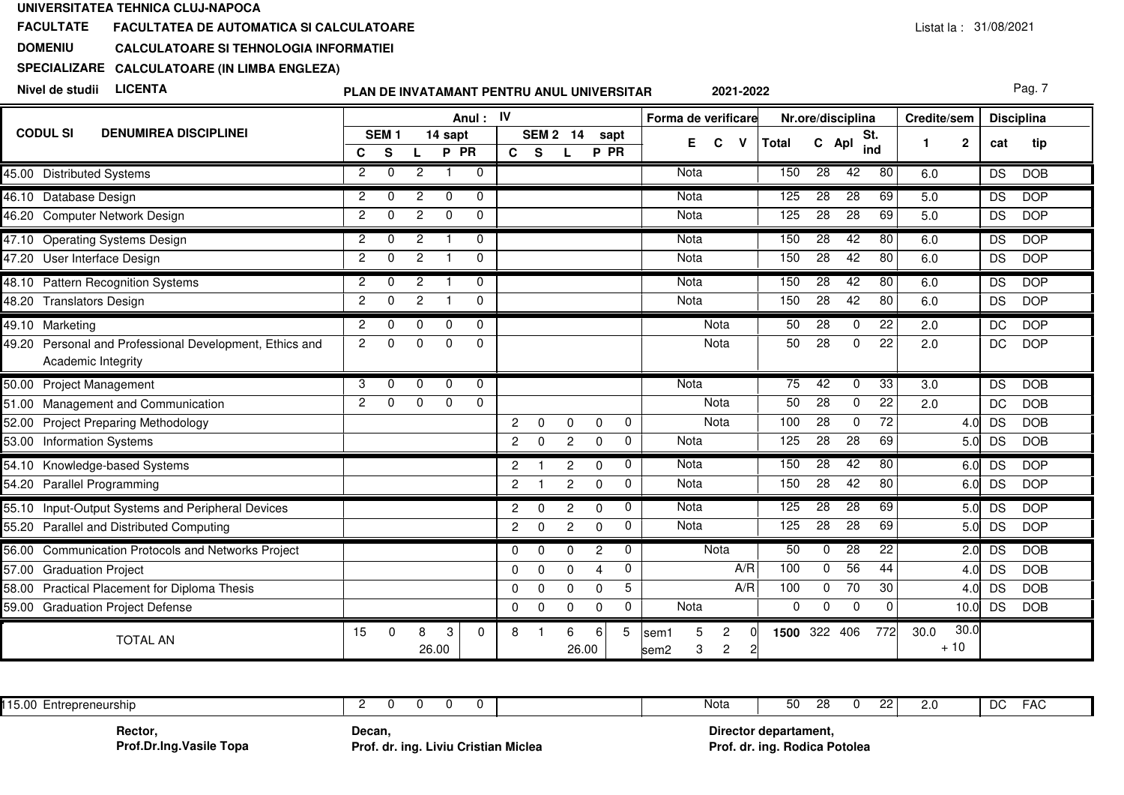**FACULTATEFACULTATEA DE AUTOMATICA SI CALCULATOARE**

**DOMENIUCALCULATOARE SI TEHNOLOGIA INFORMATIEI**

**SPECIALIZARECALCULATOARE (IN LIMBA ENGLEZA)**

**Nivel de studii LICENTA**

**PLAN DE INVATAMANT PENTRU ANUL UNIVERSITAR**

Pag. 7

|                                                                                  |                |                       |                |                 | Anul: IV     |                      |              |                |              |             | Forma de verificare                                             |          |                 | Nr.ore/disciplina |                 | Credite/sem   |              | <b>Disciplina</b> |            |
|----------------------------------------------------------------------------------|----------------|-----------------------|----------------|-----------------|--------------|----------------------|--------------|----------------|--------------|-------------|-----------------------------------------------------------------|----------|-----------------|-------------------|-----------------|---------------|--------------|-------------------|------------|
| <b>CODUL SI</b><br><b>DENUMIREA DISCIPLINEI</b>                                  | C              | SEM <sub>1</sub><br>S |                | 14 sapt<br>P PR |              | c <sub>s</sub>       | <b>SEM 2</b> | 14             | sapt<br>P PR |             | Е<br>C<br><b>V</b>                                              | Total    | C Apl           | St.               | ind             | 1             | $\mathbf{2}$ | cat               | tip        |
| 45.00 Distributed Systems                                                        | $\overline{2}$ | $\Omega$              | $\overline{2}$ |                 | $\mathbf 0$  |                      |              |                |              |             | <b>Nota</b>                                                     | 150      | $\overline{28}$ | 42                | 80              | 6.0           |              | DS                | <b>DOB</b> |
| 46.10 Database Design                                                            | $\overline{2}$ | $\Omega$              | 2              | $\Omega$        | $\Omega$     |                      |              |                |              |             | Nota                                                            | 125      | $\overline{28}$ | $\overline{28}$   | 69              | 5.0           |              | <b>DS</b>         | <b>DOP</b> |
| 46.20 Computer Network Design                                                    | $\overline{2}$ | $\Omega$              | 2              | $\Omega$        | $\mathbf{0}$ |                      |              |                |              |             | Nota                                                            | 125      | 28              | 28                | 69              | 5.0           |              | <b>DS</b>         | <b>DOP</b> |
| 47.10 Operating Systems Design                                                   | $\overline{2}$ | $\Omega$              | $\overline{2}$ | $\overline{1}$  | $\mathbf{0}$ |                      |              |                |              |             | Nota                                                            | 150      | $\overline{28}$ | 42                | 80              | 6.0           |              | DS                | <b>DOP</b> |
| 47.20 User Interface Design                                                      | $\overline{2}$ | $\Omega$              | $\overline{2}$ |                 | $\Omega$     |                      |              |                |              |             | Nota                                                            | 150      | 28              | 42                | 80              | 6.0           |              | DS                | <b>DOP</b> |
| 48.10 Pattern Recognition Systems                                                | $\overline{2}$ | $\Omega$              | 2              |                 | $\Omega$     |                      |              |                |              |             | <b>Nota</b>                                                     | 150      | 28              | 42                | 80              | 6.0           |              | <b>DS</b>         | <b>DOP</b> |
| 48.20 Translators Design                                                         | $\overline{2}$ | $\Omega$              | $\overline{c}$ |                 | $\Omega$     |                      |              |                |              |             | Nota                                                            | 150      | $\overline{28}$ | 42                | 80              | 6.0           |              | DS                | <b>DOP</b> |
| 49.10 Marketing                                                                  | $\overline{2}$ | $\Omega$              | $\Omega$       | $\Omega$        | $\mathbf{0}$ |                      |              |                |              |             | Nota                                                            | 50       | $\overline{28}$ | $\mathbf 0$       | $\overline{22}$ | 2.0           |              | DC                | <b>DOP</b> |
| Personal and Professional Development, Ethics and<br>49.20<br>Academic Integrity | $\overline{2}$ | $\Omega$              | $\Omega$       | $\Omega$        | $\mathbf{0}$ |                      |              |                |              |             | Nota                                                            | 50       | 28              | $\mathbf 0$       | 22              | 2.0           |              | DC                | <b>DOP</b> |
| 50.00 Project Management                                                         | 3              | $\Omega$              | $\Omega$       | $\Omega$        | $\Omega$     |                      |              |                |              |             | Nota                                                            | 75       | 42              | $\Omega$          | 33              | 3.0           |              | <b>DS</b>         | <b>DOB</b> |
| 51.00 Management and Communication                                               | 2              | 0                     | $\mathbf 0$    | $\mathbf 0$     | $\mathbf 0$  |                      |              |                |              |             | Nota                                                            | 50       | 28              | $\mathbf 0$       | 22              | 2.0           |              | DC                | <b>DOB</b> |
| 52.00 Project Preparing Methodology                                              |                |                       |                |                 |              | $\overline{2}$       | $\Omega$     | $\Omega$       | $\mathbf 0$  | 0           | Nota                                                            | 100      | $\overline{28}$ | $\mathbf 0$       | $\overline{72}$ |               | 4.0          | DS                | <b>DOB</b> |
| 53.00 Information Systems                                                        |                |                       |                |                 |              | $\overline{2}$       | $\mathbf 0$  | $\mathbf{2}$   | $\mathbf 0$  | 0           | Nota                                                            | 125      | 28              | 28                | 69              |               | 5.0          | <b>DS</b>         | <b>DOB</b> |
| 54.10 Knowledge-based Systems                                                    |                |                       |                |                 |              | $\overline{2}$       |              | 2              | $\mathbf{0}$ | $\mathbf 0$ | Nota                                                            | 150      | $\overline{28}$ | 42                | 80              |               | 6.0          | DS                | <b>DOP</b> |
| 54.20 Parallel Programming                                                       |                |                       |                |                 |              | $\overline{2}$       |              | $\mathbf{2}$   | $\mathbf 0$  | $\mathbf 0$ | Nota                                                            | 150      | 28              | 42                | 80              |               | 6.0          | DS                | <b>DOP</b> |
| 55.10 Input-Output Systems and Peripheral Devices                                |                |                       |                |                 |              | $\overline{2}$       | $\Omega$     | $\overline{2}$ | $\mathbf 0$  | 0           | <b>Nota</b>                                                     | 125      | 28              | $\overline{28}$   | 69              |               | 5.0          | <b>DS</b>         | <b>DOP</b> |
| 55.20 Parallel and Distributed Computing                                         |                |                       |                |                 |              | $\mathbf{2}^{\circ}$ | $\Omega$     | $\overline{2}$ | $\Omega$     | $\mathbf 0$ | Nota                                                            | 125      | 28              | 28                | 69              |               | 5.0          | <b>DS</b>         | <b>DOP</b> |
| <b>Communication Protocols and Networks Project</b><br>56.00                     |                |                       |                |                 |              | $\mathbf 0$          | $\Omega$     | $\Omega$       | 2            | $\mathbf 0$ | <b>Nota</b>                                                     | 50       | 0               | $\overline{28}$   | $\overline{22}$ |               | 2.0          | <b>DS</b>         | <b>DOB</b> |
| 57.00<br><b>Graduation Project</b>                                               |                |                       |                |                 |              | $\Omega$             | $\Omega$     | $\Omega$       | 4            | $\mathbf 0$ | A/R                                                             | 100      | 0               | 56                | 44              |               | 4.0          | <b>DS</b>         | <b>DOB</b> |
| 58.00 Practical Placement for Diploma Thesis                                     |                |                       |                |                 |              | $\Omega$             | $\Omega$     | $\Omega$       | $\Omega$     | 5           | A/R                                                             | 100      | 0               | 70                | 30              |               | 4.0          | <b>DS</b>         | <b>DOB</b> |
| 59.00<br><b>Graduation Project Defense</b>                                       |                |                       |                |                 |              | 0                    | $\mathbf 0$  | $\mathbf 0$    | $\mathbf 0$  | 0           | Nota                                                            | 0        | 0               | 0                 | $\mathbf 0$     |               | 10.0         | <b>DS</b>         | <b>DOB</b> |
| <b>TOTAL AN</b>                                                                  | 15             | $\Omega$              | 8              | 3<br>26.00      | $\Omega$     | 8                    |              | 6<br>26.00     | 6            | 5           | $\overline{c}$<br>5<br>sem1<br>$\overline{c}$<br>3<br>2<br>sem2 | 1500 322 |                 | 406               | 772             | 30.0<br>$+10$ | 30.0         |                   |            |

| .15.00<br>` Entrepreneurship |        | റഠ<br>$ \sim$<br>Nota<br>. .<br>50<br>ີ | ּ פר<br><u>__</u> | <u>_</u><br>ـ . | DC<br>$ \sim$<br>' AL |
|------------------------------|--------|-----------------------------------------|-------------------|-----------------|-----------------------|
| Rector,                      | Decan, | Director departament,                   |                   |                 |                       |

**Rector,Prof.Dr.Ing.Vasile Topa**

**Prof. dr. ing. Liviu Cristian Miclea Prof. dr. ing. Rodica Potolea**

**Director departament,**Prof. dr. ing. Rodica Potolea

**2021-2022**